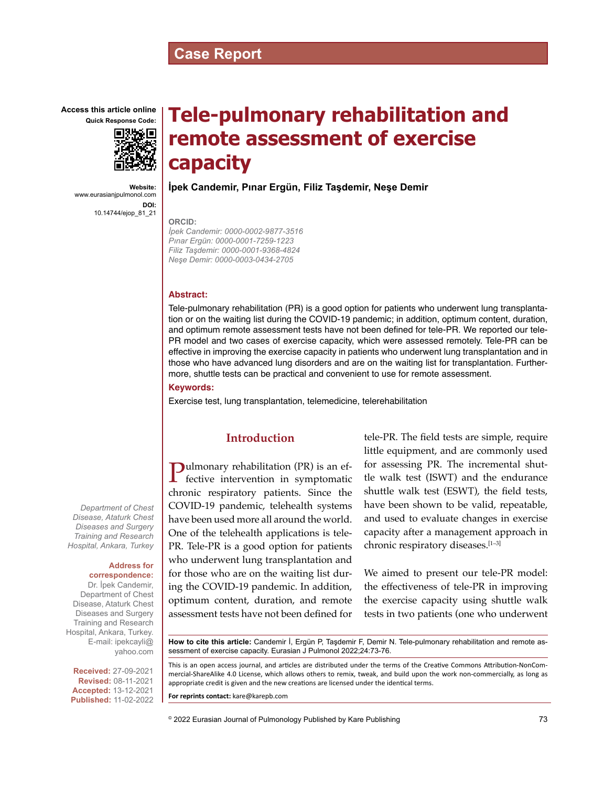# **Case Report**

**Access this article online Quick Response Code:**



**Website:** www.eurasianjpulmonol.com **DOI:** 10.14744/ejop\_81\_21

# **Tele-pulmonary rehabilitation and remote assessment of exercise capacity**

**İpek Candemir, Pınar Ergün, Filiz Taşdemir, Neşe Demir**

#### **ORCID:**

*İpek Candemir: 0000-0002-9877-3516 Pınar Ergün: 0000-0001-7259-1223 Filiz Taşdemir: 0000-0001-9368-4824 Neşe Demir: 0000-0003-0434-2705*

#### **Abstract:**

Tele-pulmonary rehabilitation (PR) is a good option for patients who underwent lung transplantation or on the waiting list during the COVID-19 pandemic; in addition, optimum content, duration, and optimum remote assessment tests have not been defined for tele-PR. We reported our tele-PR model and two cases of exercise capacity, which were assessed remotely. Tele-PR can be effective in improving the exercise capacity in patients who underwent lung transplantation and in those who have advanced lung disorders and are on the waiting list for transplantation. Furthermore, shuttle tests can be practical and convenient to use for remote assessment.

**Keywords:**

Exercise test, lung transplantation, telemedicine, telerehabilitation

# **Introduction**

**Pulmonary rehabilitation (PR) is an effective intervention in symptomatic** chronic respiratory patients. Since the COVID-19 pandemic, telehealth systems have been used more all around the world. One of the telehealth applications is tele-PR. Tele-PR is a good option for patients who underwent lung transplantation and for those who are on the waiting list during the COVID-19 pandemic. In addition, optimum content, duration, and remote assessment tests have not been defined for tele-PR. The field tests are simple, require little equipment, and are commonly used for assessing PR. The incremental shuttle walk test (ISWT) and the endurance shuttle walk test (ESWT), the field tests, have been shown to be valid, repeatable, and used to evaluate changes in exercise capacity after a management approach in chronic respiratory diseases.[1–3]

We aimed to present our tele-PR model: the effectiveness of tele-PR in improving the exercise capacity using shuttle walk tests in two patients (one who underwent

**How to cite this article:** Candemir İ, Ergün P, Taşdemir F, Demir N. Tele-pulmonary rehabilitation and remote assessment of exercise capacity. Eurasian J Pulmonol 2022;24:73-76.

This is an open access journal, and articles are distributed under the terms of the Creative Commons Attribution-NonCommercial‑ShareAlike 4.0 License, which allows others to remix, tweak, and build upon the work non‑commercially, as long as appropriate credit is given and the new creations are licensed under the identical terms.

**For reprints contact:** kare@karepb.com

© 2022 Eurasian Journal of Pulmonology Published by Kare Publishing

*Department of Chest Disease, Ataturk Chest Diseases and Surgery Training and Research Hospital, Ankara, Turkey*

#### **Address for**

**correspondence:** Dr. İpek Candemir,

Department of Chest Disease, Ataturk Chest Diseases and Surgery Training and Research Hospital, Ankara, Turkey. E-mail: ipekcayli@ yahoo.com

**Received:** 27-09-2021 **Revised:** 08-11-2021 **Accepted:** 13-12-2021 **Published:** 11-02-2022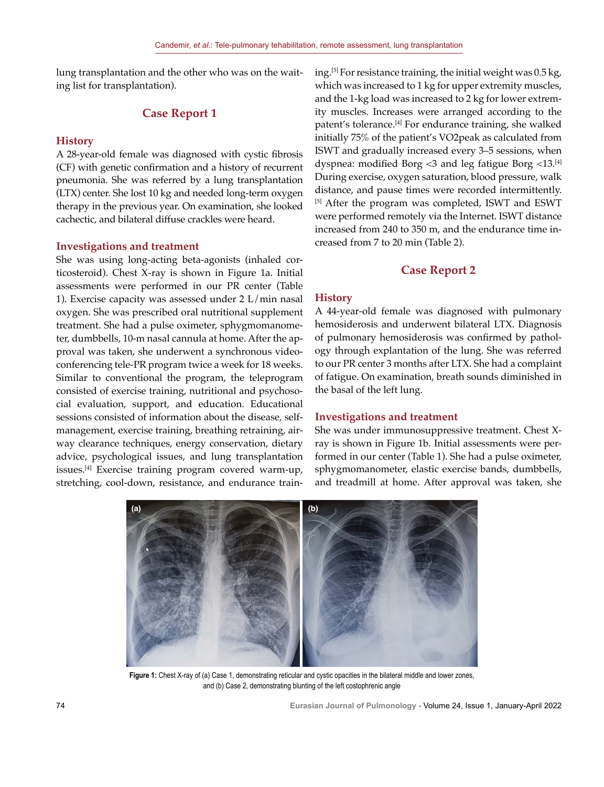lung transplantation and the other who was on the waiting list for transplantation).

### **Case Report 1**

#### **History**

A 28-year-old female was diagnosed with cystic fibrosis (CF) with genetic confirmation and a history of recurrent pneumonia. She was referred by a lung transplantation (LTX) center. She lost 10 kg and needed long-term oxygen therapy in the previous year. On examination, she looked cachectic, and bilateral diffuse crackles were heard.

#### **Investigations and treatment**

She was using long-acting beta-agonists (inhaled corticosteroid). Chest X-ray is shown in Figure 1a. Initial assessments were performed in our PR center (Table 1). Exercise capacity was assessed under 2 L/min nasal oxygen. She was prescribed oral nutritional supplement treatment. She had a pulse oximeter, sphygmomanometer, dumbbells, 10-m nasal cannula at home. After the approval was taken, she underwent a synchronous videoconferencing tele-PR program twice a week for 18 weeks. Similar to conventional the program, the teleprogram consisted of exercise training, nutritional and psychosocial evaluation, support, and education. Educational sessions consisted of information about the disease, selfmanagement, exercise training, breathing retraining, airway clearance techniques, energy conservation, dietary advice, psychological issues, and lung transplantation issues.[4] Exercise training program covered warm-up, stretching, cool-down, resistance, and endurance training.<sup>[5]</sup> For resistance training, the initial weight was  $0.5 \text{ kg}$ , which was increased to 1 kg for upper extremity muscles, and the 1-kg load was increased to 2 kg for lower extremity muscles. Increases were arranged according to the patent's tolerance.[4] For endurance training, she walked initially 75% of the patient's VO2peak as calculated from ISWT and gradually increased every 3–5 sessions, when dyspnea: modified Borg  $\leq$ 3 and leg fatigue Borg  $\leq$ 13.<sup>[4]</sup> During exercise, oxygen saturation, blood pressure, walk distance, and pause times were recorded intermittently. [5] After the program was completed, ISWT and ESWT were performed remotely via the Internet. ISWT distance increased from 240 to 350 m, and the endurance time increased from 7 to 20 min (Table 2).

#### **Case Report 2**

#### **History**

A 44-year-old female was diagnosed with pulmonary hemosiderosis and underwent bilateral LTX. Diagnosis of pulmonary hemosiderosis was confirmed by pathology through explantation of the lung. She was referred to our PR center 3 months after LTX. She had a complaint of fatigue. On examination, breath sounds diminished in the basal of the left lung.

#### **Investigations and treatment**

She was under immunosuppressive treatment. Chest Xray is shown in Figure 1b. Initial assessments were performed in our center (Table 1). She had a pulse oximeter, sphygmomanometer, elastic exercise bands, dumbbells, and treadmill at home. After approval was taken, she



**Figure 1:** Chest X-ray of (a) Case 1, demonstrating reticular and cystic opacities in the bilateral middle and lower zones, and (b) Case 2, demonstrating blunting of the left costophrenic angle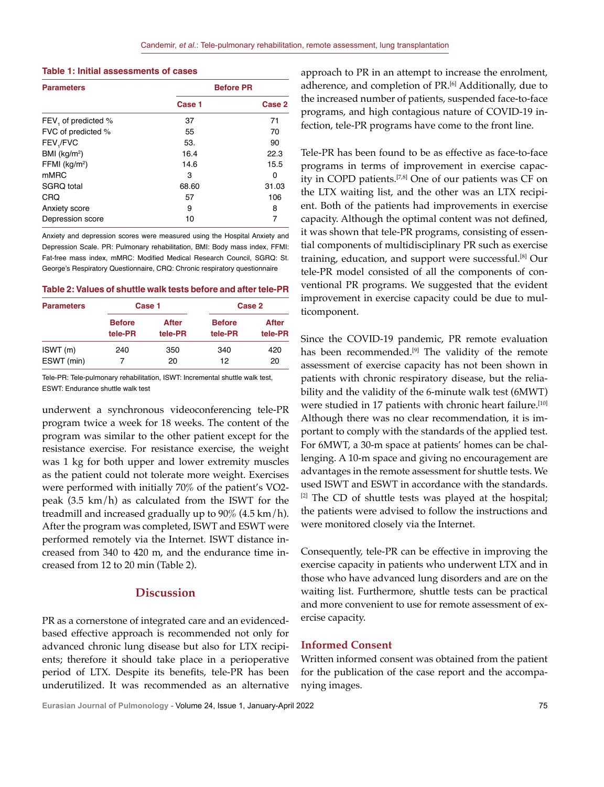| <b>Parameters</b>   | <b>Before PR</b> |        |  |
|---------------------|------------------|--------|--|
|                     | Case 1           | Case 2 |  |
| FEV, of predicted % | 37               | 71     |  |
| FVC of predicted %  | 55               | 70     |  |
| FEV,/FVC            | 53.              | 90     |  |
| BMI ( $kg/m2$ )     | 16.4             | 22.3   |  |
| FFMI ( $kg/m2$ )    | 14.6             | 15.5   |  |
| mMRC                | 3                | 0      |  |
| SGRQ total          | 68.60            | 31.03  |  |
| <b>CRQ</b>          | 57               | 106    |  |
| Anxiety score       | 9                | 8      |  |
| Depression score    | 10               | 7      |  |

**Table 1: Initial assessments of cases**

Anxiety and depression scores were measured using the Hospital Anxiety and Depression Scale. PR: Pulmonary rehabilitation, BMI: Body mass index, FFMI: Fat-free mass index, mMRC: Modified Medical Research Council, SGRQ: St. George's Respiratory Questionnaire, CRQ: Chronic respiratory questionnaire

**Table 2: Values of shuttle walk tests before and after tele-PR**

| <b>Parameters</b> | Case 1                   |                  | Case 2                   |                  |
|-------------------|--------------------------|------------------|--------------------------|------------------|
|                   | <b>Before</b><br>tele-PR | After<br>tele-PR | <b>Before</b><br>tele-PR | After<br>tele-PR |
| ISWT(m)           | 240                      | 350              | 340                      | 420              |
| ESWT (min)        |                          | 20               | 12                       | 20               |

Tele-PR: Tele-pulmonary rehabilitation, ISWT: Incremental shuttle walk test, ESWT: Endurance shuttle walk test

underwent a synchronous videoconferencing tele-PR program twice a week for 18 weeks. The content of the program was similar to the other patient except for the resistance exercise. For resistance exercise, the weight was 1 kg for both upper and lower extremity muscles as the patient could not tolerate more weight. Exercises were performed with initially 70% of the patient's VO2 peak (3.5 km/h) as calculated from the ISWT for the treadmill and increased gradually up to  $90\%$  (4.5 km/h). After the program was completed, ISWT and ESWT were performed remotely via the Internet. ISWT distance increased from 340 to 420 m, and the endurance time increased from 12 to 20 min (Table 2).

# **Discussion**

PR as a cornerstone of integrated care and an evidencedbased effective approach is recommended not only for advanced chronic lung disease but also for LTX recipients; therefore it should take place in a perioperative period of LTX. Despite its benefits, tele-PR has been underutilized. It was recommended as an alternative approach to PR in an attempt to increase the enrolment, adherence, and completion of PR.<sup>[6]</sup> Additionally, due to the increased number of patients, suspended face-to-face programs, and high contagious nature of COVID-19 infection, tele-PR programs have come to the front line.

Tele-PR has been found to be as effective as face-to-face programs in terms of improvement in exercise capacity in COPD patients.[7,8] One of our patients was CF on the LTX waiting list, and the other was an LTX recipient. Both of the patients had improvements in exercise capacity. Although the optimal content was not defined, it was shown that tele-PR programs, consisting of essential components of multidisciplinary PR such as exercise training, education, and support were successful.[8] Our tele-PR model consisted of all the components of conventional PR programs. We suggested that the evident improvement in exercise capacity could be due to multicomponent.

Since the COVID-19 pandemic, PR remote evaluation has been recommended.<sup>[9]</sup> The validity of the remote assessment of exercise capacity has not been shown in patients with chronic respiratory disease, but the reliability and the validity of the 6-minute walk test (6MWT) were studied in 17 patients with chronic heart failure.<sup>[10]</sup> Although there was no clear recommendation, it is important to comply with the standards of the applied test. For 6MWT, a 30-m space at patients' homes can be challenging. A 10-m space and giving no encouragement are advantages in the remote assessment for shuttle tests. We used ISWT and ESWT in accordance with the standards.  $[2]$  The CD of shuttle tests was played at the hospital; the patients were advised to follow the instructions and were monitored closely via the Internet.

Consequently, tele-PR can be effective in improving the exercise capacity in patients who underwent LTX and in those who have advanced lung disorders and are on the waiting list. Furthermore, shuttle tests can be practical and more convenient to use for remote assessment of exercise capacity.

#### **Informed Consent**

Written informed consent was obtained from the patient for the publication of the case report and the accompanying images.